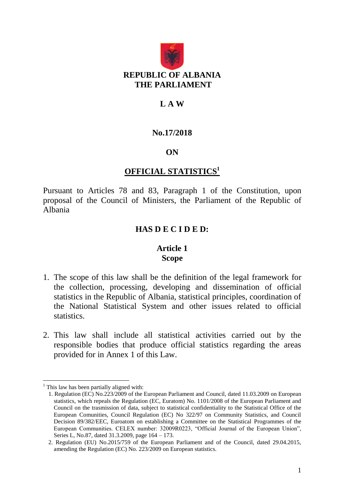

#### **L A W**

#### **No.17/2018**

#### **ON**

#### **OFFICIAL STATISTICS<sup>1</sup>**

Pursuant to Articles 78 and 83, Paragraph 1 of the Constitution, upon proposal of the Council of Ministers, the Parliament of the Republic of Albania

#### **HAS D E C I D E D:**

#### **Article 1 Scope**

- 1. The scope of this law shall be the definition of the legal framework for the collection, processing, developing and dissemination of official statistics in the Republic of Albania, statistical principles, coordination of the National Statistical System and other issues related to official statistics.
- 2. This law shall include all statistical activities carried out by the responsible bodies that produce official statistics regarding the areas provided for in Annex 1 of this Law.

1

 $<sup>1</sup>$  This law has been partially aligned with:</sup>

<sup>1.</sup> Regulation (EC) No.223/2009 of the European Parliament and Council, dated 11.03.2009 on European statistics, which repeals the Regulation (EC, Euratom) No. 1101/2008 of the European Parliament and Council on the trasmission of data, subject to statistical confidentiality to the Statistical Office of the European Comunities, Council Regulation (EC) No 322/97 on Community Statistics, and Council Decision 89/382/EEC, Euroatom on establishing a Committee on the Statistical Programmes of the European Communities. CELEX number: 32009R0223, "Official Journal of the European Union", Series L, No.87, dated 31.3.2009, page 164 – 173.

<sup>2.</sup> Regulation (EU) No.2015/759 of the European Parliament and of the Council, dated 29.04.2015, amending the Regulation (EC) No. 223/2009 on European statistics.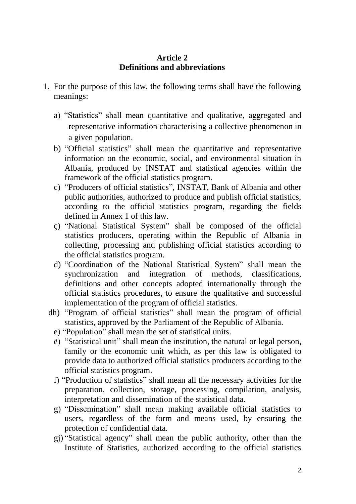#### **Article 2 Definitions and abbreviations**

- 1. For the purpose of this law, the following terms shall have the following meanings:
	- a) "Statistics" shall mean quantitative and qualitative, aggregated and representative information characterising a collective phenomenon in a given population.
	- b) "Official statistics" shall mean the quantitative and representative information on the economic, social, and environmental situation in Albania, produced by INSTAT and statistical agencies within the framework of the official statistics program.
	- c) "Producers of official statistics", INSTAT, Bank of Albania and other public authorities, authorized to produce and publish official statistics, according to the official statistics program, regarding the fields defined in Annex 1 of this law.
	- ç) "National Statistical System" shall be composed of the official statistics producers, operating within the Republic of Albania in collecting, processing and publishing official statistics according to the official statistics program.
	- d) "Coordination of the National Statistical System" shall mean the synchronization and integration of methods, classifications, definitions and other concepts adopted internationally through the official statistics procedures, to ensure the qualitative and successful implementation of the program of official statistics.
	- dh) "Program of official statistics" shall mean the program of official statistics, approved by the Parliament of the Republic of Albania.
		- e) "Population" shall mean the set of statistical units.
		- ë) "Statistical unit" shall mean the institution, the natural or legal person, family or the economic unit which, as per this law is obligated to provide data to authorized official statistics producers according to the official statistics program.
		- f) "Production of statistics" shall mean all the necessary activities for the preparation, collection, storage, processing, compilation, analysis, interpretation and dissemination of the statistical data.
		- g) "Dissemination" shall mean making available official statistics to users, regardless of the form and means used, by ensuring the protection of confidential data.
		- gj) "Statistical agency" shall mean the public authority, other than the Institute of Statistics, authorized according to the official statistics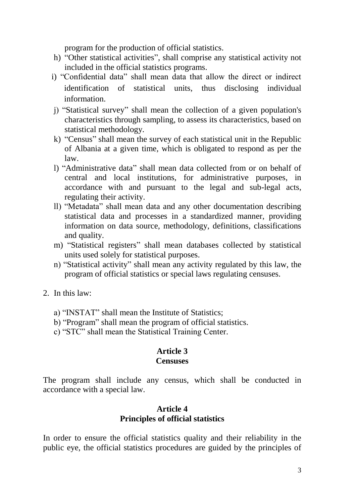program for the production of official statistics.

- h) "Other statistical activities", shall comprise any statistical activity not included in the official statistics programs.
- i) "Confidential data" shall mean data that allow the direct or indirect identification of statistical units, thus disclosing individual information.
- j) "Statistical survey" shall mean the collection of a given population's characteristics through sampling, to assess its characteristics, based on statistical methodology.
- k) "Census" shall mean the survey of each statistical unit in the Republic of Albania at a given time, which is obligated to respond as per the law.
- l) "Administrative data" shall mean data collected from or on behalf of central and local institutions, for administrative purposes, in accordance with and pursuant to the legal and sub-legal acts, regulating their activity.
- ll) "Metadata" shall mean data and any other documentation describing statistical data and processes in a standardized manner, providing information on data source, methodology, definitions, classifications and quality.
- m) "Statistical registers" shall mean databases collected by statistical units used solely for statistical purposes.
- n) "Statistical activity" shall mean any activity regulated by this law, the program of official statistics or special laws regulating censuses.
- 2. In this law:
	- a) "INSTAT" shall mean the Institute of Statistics;
	- b) "Program" shall mean the program of official statistics.
	- c) "STC" shall mean the Statistical Training Center.

# **Article 3**

#### **Censuses**

The program shall include any census, which shall be conducted in accordance with a special law.

#### **Article 4 Principles of official statistics**

In order to ensure the official statistics quality and their reliability in the public eye, the official statistics procedures are guided by the principles of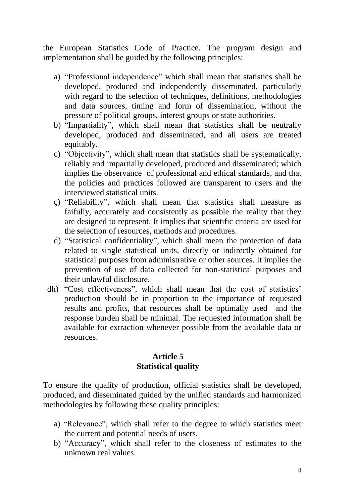the European Statistics Code of Practice. The program design and implementation shall be guided by the following principles:

- a) "Professional independence" which shall mean that statistics shall be developed, produced and independently disseminated, particularly with regard to the selection of techniques, definitions, methodologies and data sources, timing and form of dissemination, without the pressure of political groups, interest groups or state authorities.
- b) "Impartiality", which shall mean that statistics shall be neutrally developed, produced and disseminated, and all users are treated equitably.
- c) "Objectivity", which shall mean that statistics shall be systematically, reliably and impartially developed, produced and disseminated; which implies the observance of professional and ethical standards, and that the policies and practices followed are transparent to users and the interviewed statistical units.
- ç) "Reliability", which shall mean that statistics shall measure as faifully, accurately and consistently as possible the reality that they are designed to represent. It implies that scientific criteria are used for the selection of resources, methods and procedures.
- d) "Statistical confidentiality", which shall mean the protection of data related to single statistical units, directly or indirectly obtained for statistical purposes from administrative or other sources. It implies the prevention of use of data collected for non-statistical purposes and their unlawful disclosure.
- dh) "Cost effectiveness", which shall mean that the cost of statistics' production should be in proportion to the importance of requested results and profits, that resources shall be optimally used and the response burden shall be minimal. The requested information shall be available for extraction whenever possible from the available data or resources.

#### **Article 5 Statistical quality**

To ensure the quality of production, official statistics shall be developed, produced, and disseminated guided by the unified standards and harmonized methodologies by following these quality principles:

- a) "Relevance", which shall refer to the degree to which statistics meet the current and potential needs of users.
- b) "Accuracy", which shall refer to the closeness of estimates to the unknown real values.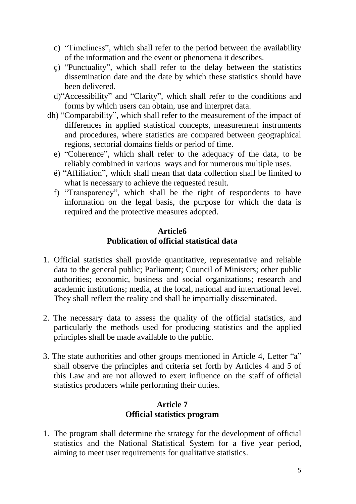- c) "Timeliness", which shall refer to the period between the availability of the information and the event or phenomena it describes.
- ç) "Punctuality", which shall refer to the delay between the statistics dissemination date and the date by which these statistics should have been delivered.
- d)"Accessibility" and "Clarity", which shall refer to the conditions and forms by which users can obtain, use and interpret data.
- dh) "Comparability", which shall refer to the measurement of the impact of differences in applied statistical concepts, measurement instruments and procedures, where statistics are compared between geographical regions, sectorial domains fields or period of time.
	- e) "Coherence", which shall refer to the adequacy of the data, to be reliably combined in various ways and for numerous multiple uses.
	- ë) "Affiliation", which shall mean that data collection shall be limited to what is necessary to achieve the requested result.
	- f) "Transparency", which shall be the right of respondents to have information on the legal basis, the purpose for which the data is required and the protective measures adopted.

#### **Article6 Publication of official statistical data**

- 1. Official statistics shall provide quantitative, representative and reliable data to the general public; Parliament; Council of Ministers; other public authorities; economic, business and social organizations; research and academic institutions; media, at the local, national and international level. They shall reflect the reality and shall be impartially disseminated.
- 2. The necessary data to assess the quality of the official statistics, and particularly the methods used for producing statistics and the applied principles shall be made available to the public.
- 3. The state authorities and other groups mentioned in Article 4, Letter "a" shall observe the principles and criteria set forth by Articles 4 and 5 of this Law and are not allowed to exert influence on the staff of official statistics producers while performing their duties.

# **Article 7 Official statistics program**

1. The program shall determine the strategy for the development of official statistics and the National Statistical System for a five year period, aiming to meet user requirements for qualitative statistics.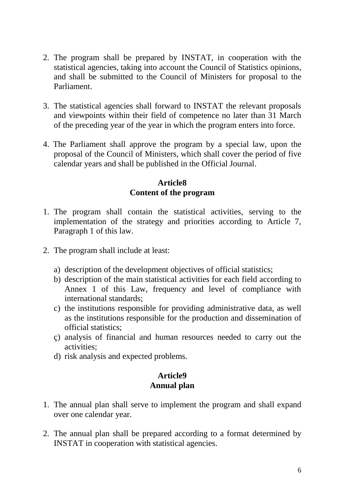- 2. The program shall be prepared by INSTAT, in cooperation with the statistical agencies, taking into account the Council of Statistics opinions, and shall be submitted to the Council of Ministers for proposal to the Parliament.
- 3. The statistical agencies shall forward to INSTAT the relevant proposals and viewpoints within their field of competence no later than 31 March of the preceding year of the year in which the program enters into force.
- 4. The Parliament shall approve the program by a special law, upon the proposal of the Council of Ministers, which shall cover the period of five calendar years and shall be published in the Official Journal.

#### **Article8 Content of the program**

- 1. The program shall contain the statistical activities, serving to the implementation of the strategy and priorities according to Article 7, Paragraph 1 of this law.
- 2. The program shall include at least:
	- a) description of the development objectives of official statistics;
	- b) description of the main statistical activities for each field according to Annex 1 of this Law, frequency and level of compliance with international standards;
	- c) the institutions responsible for providing administrative data, as well as the institutions responsible for the production and dissemination of official statistics;
	- ç) analysis of financial and human resources needed to carry out the activities;
	- d) risk analysis and expected problems.

# **Article9 Annual plan**

- 1. The annual plan shall serve to implement the program and shall expand over one calendar year.
- 2. The annual plan shall be prepared according to a format determined by INSTAT in cooperation with statistical agencies.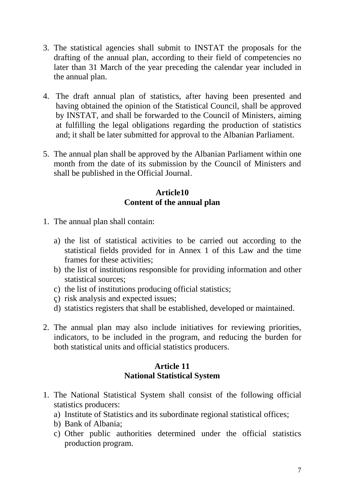- 3. The statistical agencies shall submit to INSTAT the proposals for the drafting of the annual plan, according to their field of competencies no later than 31 March of the year preceding the calendar year included in the annual plan.
- 4. The draft annual plan of statistics, after having been presented and having obtained the opinion of the Statistical Council, shall be approved by INSTAT, and shall be forwarded to the Council of Ministers, aiming at fulfilling the legal obligations regarding the production of statistics and; it shall be later submitted for approval to the Albanian Parliament.
- 5. The annual plan shall be approved by the Albanian Parliament within one month from the date of its submission by the Council of Ministers and shall be published in the Official Journal.

# **Article10 Content of the annual plan**

- 1. The annual plan shall contain:
	- a) the list of statistical activities to be carried out according to the statistical fields provided for in Annex 1 of this Law and the time frames for these activities;
	- b) the list of institutions responsible for providing information and other statistical sources;
	- c) the list of institutions producing official statistics;
	- ç) risk analysis and expected issues;
	- d) statistics registers that shall be established, developed or maintained.
- 2. The annual plan may also include initiatives for reviewing priorities, indicators, to be included in the program, and reducing the burden for both statistical units and official statistics producers.

#### **Article 11 National Statistical System**

- 1. The National Statistical System shall consist of the following official statistics producers:
	- a) Institute of Statistics and its subordinate regional statistical offices;
	- b) Bank of Albania;
	- c) Other public authorities determined under the official statistics production program.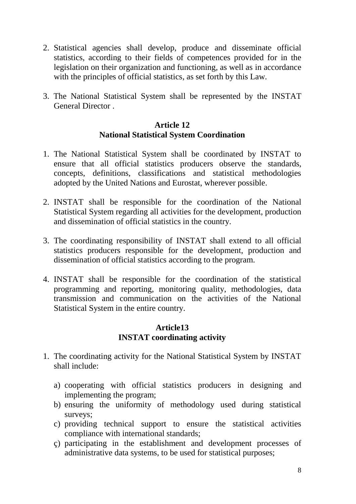- 2. Statistical agencies shall develop, produce and disseminate official statistics, according to their fields of competences provided for in the legislation on their organization and functioning, as well as in accordance with the principles of official statistics, as set forth by this Law.
- 3. The National Statistical System shall be represented by the INSTAT General Director .

#### **Article 12 National Statistical System Coordination**

- 1. The National Statistical System shall be coordinated by INSTAT to ensure that all official statistics producers observe the standards, concepts, definitions, classifications and statistical methodologies adopted by the United Nations and Eurostat, wherever possible.
- 2. INSTAT shall be responsible for the coordination of the National Statistical System regarding all activities for the development, production and dissemination of official statistics in the country.
- 3. The coordinating responsibility of INSTAT shall extend to all official statistics producers responsible for the development, production and dissemination of official statistics according to the program.
- 4. INSTAT shall be responsible for the coordination of the statistical programming and reporting, monitoring quality, methodologies, data transmission and communication on the activities of the National Statistical System in the entire country.

#### **Article13 INSTAT coordinating activity**

- 1. The coordinating activity for the National Statistical System by INSTAT shall include:
	- a) cooperating with official statistics producers in designing and implementing the program;
	- b) ensuring the uniformity of methodology used during statistical surveys;
	- c) providing technical support to ensure the statistical activities compliance with international standards;
	- ç) participating in the establishment and development processes of administrative data systems, to be used for statistical purposes;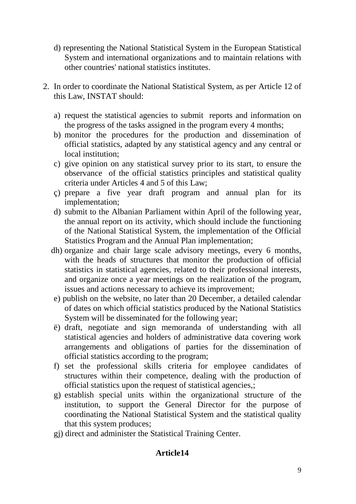- d) representing the National Statistical System in the European Statistical System and international organizations and to maintain relations with other countries' national statistics institutes.
- 2. In order to coordinate the National Statistical System, as per Article 12 of this Law, INSTAT should:
	- a) request the statistical agencies to submit reports and information on the progress of the tasks assigned in the program every 4 months;
	- b) monitor the procedures for the production and dissemination of official statistics, adapted by any statistical agency and any central or local institution:
	- c) give opinion on any statistical survey prior to its start, to ensure the observance of the official statistics principles and statistical quality criteria under Articles 4 and 5 of this Law;
	- ç) prepare a five year draft program and annual plan for its implementation;
	- d) submit to the Albanian Parliament within April of the following year, the annual report on its activity, which should include the functioning of the National Statistical System, the implementation of the Official Statistics Program and the Annual Plan implementation;
	- dh) organize and chair large scale advisory meetings, every 6 months, with the heads of structures that monitor the production of official statistics in statistical agencies, related to their professional interests, and organize once a year meetings on the realization of the program, issues and actions necessary to achieve its improvement;
	- e) publish on the website, no later than 20 December, a detailed calendar of dates on which official statistics produced by the National Statistics System will be disseminated for the following year;
	- ë) draft, negotiate and sign memoranda of understanding with all statistical agencies and holders of administrative data covering work arrangements and obligations of parties for the dissemination of official statistics according to the program;
	- f) set the professional skills criteria for employee candidates of structures within their competence, dealing with the production of official statistics upon the request of statistical agencies,;
	- g) establish special units within the organizational structure of the institution, to support the General Director for the purpose of coordinating the National Statistical System and the statistical quality that this system produces;
	- gj) direct and administer the Statistical Training Center.

# **Article14**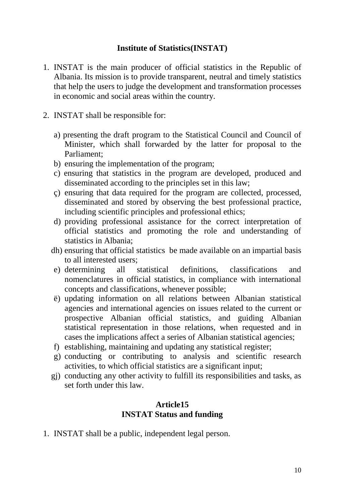#### **Institute of Statistics(INSTAT)**

- 1. INSTAT is the main producer of official statistics in the Republic of Albania. Its mission is to provide transparent, neutral and timely statistics that help the users to judge the development and transformation processes in economic and social areas within the country.
- 2. INSTAT shall be responsible for:
	- a) presenting the draft program to the Statistical Council and Council of Minister, which shall forwarded by the latter for proposal to the Parliament;
	- b) ensuring the implementation of the program;
	- c) ensuring that statistics in the program are developed, produced and disseminated according to the principles set in this law;
	- ç) ensuring that data required for the program are collected, processed, disseminated and stored by observing the best professional practice, including scientific principles and professional ethics;
	- d) providing professional assistance for the correct interpretation of official statistics and promoting the role and understanding of statistics in Albania;
	- dh) ensuring that official statistics be made available on an impartial basis to all interested users;
	- e) determining all statistical definitions, classifications and nomenclatures in official statistics, in compliance with international concepts and classifications, whenever possible;
	- ë) updating information on all relations between Albanian statistical agencies and international agencies on issues related to the current or prospective Albanian official statistics, and guiding Albanian statistical representation in those relations, when requested and in cases the implications affect a series of Albanian statistical agencies;
	- f) establishing, maintaining and updating any statistical register;
	- g) conducting or contributing to analysis and scientific research activities, to which official statistics are a significant input;
	- gj) conducting any other activity to fulfill its responsibilities and tasks, as set forth under this law.

#### **Article15 INSTAT Status and funding**

1. INSTAT shall be a public, independent legal person.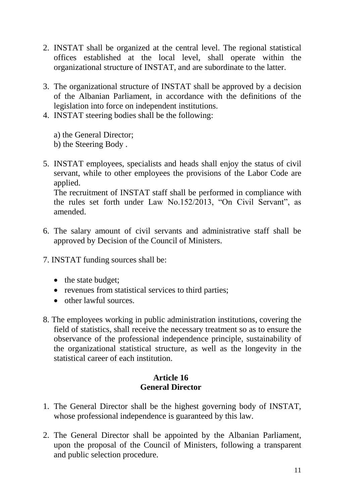- 2. INSTAT shall be organized at the central level. The regional statistical offices established at the local level, shall operate within the organizational structure of INSTAT, and are subordinate to the latter.
- 3. The organizational structure of INSTAT shall be approved by a decision of the Albanian Parliament, in accordance with the definitions of the legislation into force on independent institutions.
- 4. INSTAT steering bodies shall be the following:

a) the General Director;

b) the Steering Body .

5. INSTAT employees, specialists and heads shall enjoy the status of civil servant, while to other employees the provisions of the Labor Code are applied.

The recruitment of INSTAT staff shall be performed in compliance with the rules set forth under Law No.152/2013, "On Civil Servant", as amended.

- 6. The salary amount of civil servants and administrative staff shall be approved by Decision of the Council of Ministers.
- 7. INSTAT funding sources shall be:
	- the state budget;
	- revenues from statistical services to third parties;
	- other lawful sources.
- 8. The employees working in public administration institutions, covering the field of statistics, shall receive the necessary treatment so as to ensure the observance of the professional independence principle, sustainability of the organizational statistical structure, as well as the longevity in the statistical career of each institution.

#### **Article 16 General Director**

- 1. The General Director shall be the highest governing body of INSTAT, whose professional independence is guaranteed by this law.
- 2. The General Director shall be appointed by the Albanian Parliament, upon the proposal of the Council of Ministers, following a transparent and public selection procedure.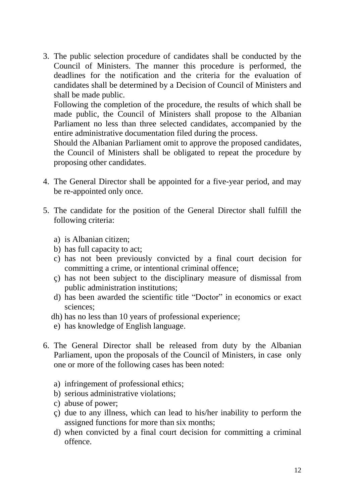3. The public selection procedure of candidates shall be conducted by the Council of Ministers. The manner this procedure is performed, the deadlines for the notification and the criteria for the evaluation of candidates shall be determined by a Decision of Council of Ministers and shall be made public.

Following the completion of the procedure, the results of which shall be made public, the Council of Ministers shall propose to the Albanian Parliament no less than three selected candidates, accompanied by the entire administrative documentation filed during the process.

Should the Albanian Parliament omit to approve the proposed candidates, the Council of Ministers shall be obligated to repeat the procedure by proposing other candidates.

- 4. The General Director shall be appointed for a five-year period, and may be re-appointed only once.
- 5. The candidate for the position of the General Director shall fulfill the following criteria:
	- a) is Albanian citizen;
	- b) has full capacity to act;
	- c) has not been previously convicted by a final court decision for committing a crime, or intentional criminal offence;
	- ç) has not been subject to the disciplinary measure of dismissal from public administration institutions;
	- d) has been awarded the scientific title "Doctor" in economics or exact sciences;
	- dh) has no less than 10 years of professional experience;
	- e) has knowledge of English language.
- 6. The General Director shall be released from duty by the Albanian Parliament, upon the proposals of the Council of Ministers, in case only one or more of the following cases has been noted:
	- a) infringement of professional ethics;
	- b) serious administrative violations;
	- c) abuse of power;
	- ç) due to any illness, which can lead to his/her inability to perform the assigned functions for more than six months;
	- d) when convicted by a final court decision for committing a criminal offence.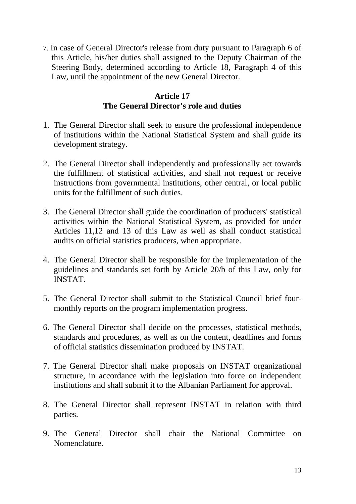7. In case of General Director's release from duty pursuant to Paragraph 6 of this Article, his/her duties shall assigned to the Deputy Chairman of the Steering Body, determined according to Article 18, Paragraph 4 of this Law, until the appointment of the new General Director.

#### **Article 17 The General Director's role and duties**

- 1. The General Director shall seek to ensure the professional independence of institutions within the National Statistical System and shall guide its development strategy.
- 2. The General Director shall independently and professionally act towards the fulfillment of statistical activities, and shall not request or receive instructions from governmental institutions, other central, or local public units for the fulfillment of such duties.
- 3. The General Director shall guide the coordination of producers' statistical activities within the National Statistical System, as provided for under Articles 11,12 and 13 of this Law as well as shall conduct statistical audits on official statistics producers, when appropriate.
- 4. The General Director shall be responsible for the implementation of the guidelines and standards set forth by Article 20/b of this Law, only for INSTAT.
- 5. The General Director shall submit to the Statistical Council brief fourmonthly reports on the program implementation progress.
- 6. The General Director shall decide on the processes, statistical methods, standards and procedures, as well as on the content, deadlines and forms of official statistics dissemination produced by INSTAT.
- 7. The General Director shall make proposals on INSTAT organizational structure, in accordance with the legislation into force on independent institutions and shall submit it to the Albanian Parliament for approval.
- 8. The General Director shall represent INSTAT in relation with third parties.
- 9. The General Director shall chair the National Committee on Nomenclature.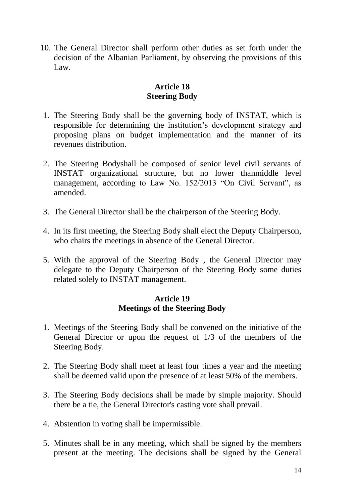10. The General Director shall perform other duties as set forth under the decision of the Albanian Parliament, by observing the provisions of this Law.

# **Article 18 Steering Body**

- 1. The Steering Body shall be the governing body of INSTAT, which is responsible for determining the institution's development strategy and proposing plans on budget implementation and the manner of its revenues distribution.
- 2. The Steering Bodyshall be composed of senior level civil servants of INSTAT organizational structure, but no lower thanmiddle level management, according to Law No. 152/2013 "On Civil Servant", as amended.
- 3. The General Director shall be the chairperson of the Steering Body.
- 4. In its first meeting, the Steering Body shall elect the Deputy Chairperson, who chairs the meetings in absence of the General Director.
- 5. With the approval of the Steering Body , the General Director may delegate to the Deputy Chairperson of the Steering Body some duties related solely to INSTAT management.

#### **Article 19 Meetings of the Steering Body**

- 1. Meetings of the Steering Body shall be convened on the initiative of the General Director or upon the request of 1/3 of the members of the Steering Body.
- 2. The Steering Body shall meet at least four times a year and the meeting shall be deemed valid upon the presence of at least 50% of the members.
- 3. The Steering Body decisions shall be made by simple majority. Should there be a tie, the General Director's casting vote shall prevail.
- 4. Abstention in voting shall be impermissible.
- 5. Minutes shall be in any meeting, which shall be signed by the members present at the meeting. The decisions shall be signed by the General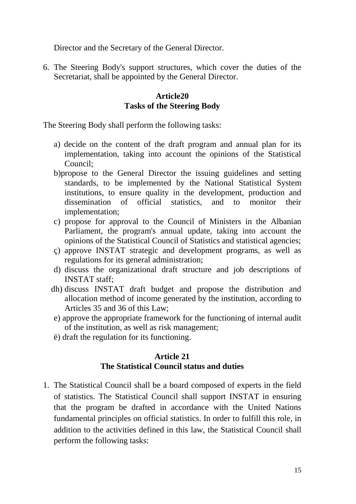Director and the Secretary of the General Director.

6. The Steering Body's support structures, which cover the duties of the Secretariat, shall be appointed by the General Director.

#### **Article20 Tasks of the Steering Body**

The Steering Body shall perform the following tasks:

- a) decide on the content of the draft program and annual plan for its implementation, taking into account the opinions of the Statistical Council;
- b)propose to the General Director the issuing guidelines and setting standards, to be implemented by the National Statistical System institutions, to ensure quality in the development, production and dissemination of official statistics, and to monitor their implementation;
- c) propose for approval to the Council of Ministers in the Albanian Parliament, the program's annual update, taking into account the opinions of the Statistical Council of Statistics and statistical agencies;
- ç) approve INSTAT strategic and development programs, as well as regulations for its general administration;
- d) discuss the organizational draft structure and job descriptions of INSTAT staff;
- dh) discuss INSTAT draft budget and propose the distribution and allocation method of income generated by the institution, according to Articles 35 and 36 of this Law;
- e) approve the appropriate framework for the functioning of internal audit of the institution, as well as risk management;
- ë) draft the regulation for its functioning.

#### **Article 21 The Statistical Council status and duties**

1. The Statistical Council shall be a board composed of experts in the field of statistics. The Statistical Council shall support INSTAT in ensuring that the program be drafted in accordance with the United Nations fundamental principles on official statistics. In order to fulfill this role, in addition to the activities defined in this law, the Statistical Council shall perform the following tasks: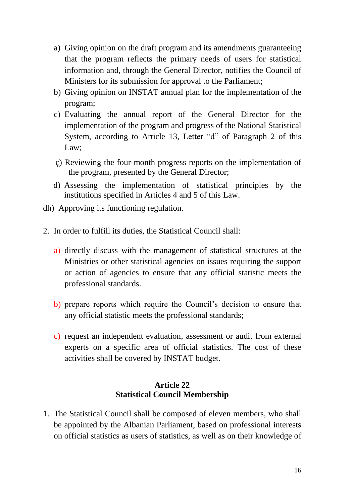- a) Giving opinion on the draft program and its amendments guaranteeing that the program reflects the primary needs of users for statistical information and, through the General Director, notifies the Council of Ministers for its submission for approval to the Parliament;
- b) Giving opinion on INSTAT annual plan for the implementation of the program;
- c) Evaluating the annual report of the General Director for the implementation of the program and progress of the National Statistical System, according to Article 13, Letter "d" of Paragraph 2 of this Law;
- ç) Reviewing the four-month progress reports on the implementation of the program, presented by the General Director;
- d) Assessing the implementation of statistical principles by the institutions specified in Articles 4 and 5 of this Law.
- dh) Approving its functioning regulation.
- 2. In order to fulfill its duties, the Statistical Council shall:
	- a) directly discuss with the management of statistical structures at the Ministries or other statistical agencies on issues requiring the support or action of agencies to ensure that any official statistic meets the professional standards.
	- b) prepare reports which require the Council's decision to ensure that any official statistic meets the professional standards;
	- c) request an independent evaluation, assessment or audit from external experts on a specific area of official statistics. The cost of these activities shall be covered by INSTAT budget.

# **Article 22 Statistical Council Membership**

1. The Statistical Council shall be composed of eleven members, who shall be appointed by the Albanian Parliament, based on professional interests on official statistics as users of statistics, as well as on their knowledge of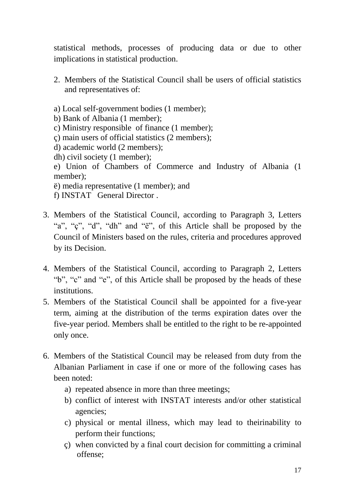statistical methods, processes of producing data or due to other implications in statistical production.

- 2. Members of the Statistical Council shall be users of official statistics and representatives of:
- a) Local self-government bodies (1 member);
- b) Bank of Albania (1 member);
- c) Ministry responsible of finance (1 member);
- ç) main users of official statistics (2 members);
- d) academic world (2 members);
- dh) civil society (1 member);
- e) Union of Chambers of Commerce and Industry of Albania (1 member);
- ë) media representative (1 member); and
- f) INSTAT General Director .
- 3. Members of the Statistical Council, according to Paragraph 3, Letters "a", "ç", "d", "dh" and "ë", of this Article shall be proposed by the Council of Ministers based on the rules, criteria and procedures approved by its Decision.
- 4. Members of the Statistical Council, according to Paragraph 2, Letters "b", "c" and "e", of this Article shall be proposed by the heads of these institutions.
- 5. Members of the Statistical Council shall be appointed for a five-year term, aiming at the distribution of the terms expiration dates over the five-year period. Members shall be entitled to the right to be re-appointed only once.
- 6. Members of the Statistical Council may be released from duty from the Albanian Parliament in case if one or more of the following cases has been noted:
	- a) repeated absence in more than three meetings;
	- b) conflict of interest with INSTAT interests and/or other statistical agencies;
	- c) physical or mental illness, which may lead to theirinability to perform their functions;
	- ç) when convicted by a final court decision for committing a criminal offense;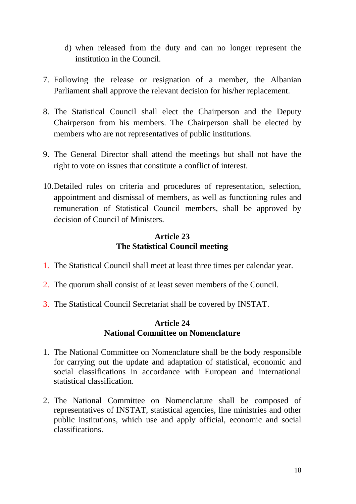- d) when released from the duty and can no longer represent the institution in the Council.
- 7. Following the release or resignation of a member, the Albanian Parliament shall approve the relevant decision for his/her replacement.
- 8. The Statistical Council shall elect the Chairperson and the Deputy Chairperson from his members. The Chairperson shall be elected by members who are not representatives of public institutions.
- 9. The General Director shall attend the meetings but shall not have the right to vote on issues that constitute a conflict of interest.
- 10.Detailed rules on criteria and procedures of representation, selection, appointment and dismissal of members, as well as functioning rules and remuneration of Statistical Council members, shall be approved by decision of Council of Ministers.

# **Article 23 The Statistical Council meeting**

- 1. The Statistical Council shall meet at least three times per calendar year.
- 2. The quorum shall consist of at least seven members of the Council.
- 3. The Statistical Council Secretariat shall be covered by INSTAT.

#### **Article 24 National Committee on Nomenclature**

- 1. The National Committee on Nomenclature shall be the body responsible for carrying out the update and adaptation of statistical, economic and social classifications in accordance with European and international statistical classification.
- 2. The National Committee on Nomenclature shall be composed of representatives of INSTAT, statistical agencies, line ministries and other public institutions, which use and apply official, economic and social classifications.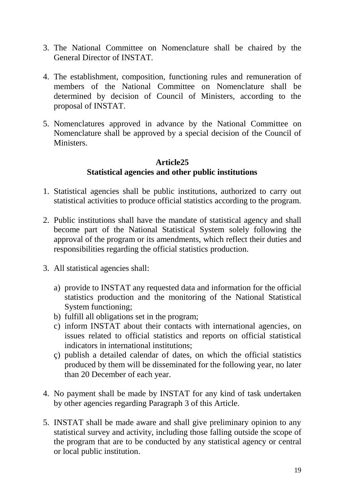- 3. The National Committee on Nomenclature shall be chaired by the General Director of INSTAT.
- 4. The establishment, composition, functioning rules and remuneration of members of the National Committee on Nomenclature shall be determined by decision of Council of Ministers, according to the proposal of INSTAT.
- 5. Nomenclatures approved in advance by the National Committee on Nomenclature shall be approved by a special decision of the Council of **Ministers**

# **Article25 Statistical agencies and other public institutions**

- 1. Statistical agencies shall be public institutions, authorized to carry out statistical activities to produce official statistics according to the program.
- 2. Public institutions shall have the mandate of statistical agency and shall become part of the National Statistical System solely following the approval of the program or its amendments, which reflect their duties and responsibilities regarding the official statistics production.
- 3. All statistical agencies shall:
	- a) provide to INSTAT any requested data and information for the official statistics production and the monitoring of the National Statistical System functioning;
	- b) fulfill all obligations set in the program;
	- c) inform INSTAT about their contacts with international agencies, on issues related to official statistics and reports on official statistical indicators in international institutions;
	- ç) publish a detailed calendar of dates, on which the official statistics produced by them will be disseminated for the following year, no later than 20 December of each year.
- 4. No payment shall be made by INSTAT for any kind of task undertaken by other agencies regarding Paragraph 3 of this Article.
- 5. INSTAT shall be made aware and shall give preliminary opinion to any statistical survey and activity, including those falling outside the scope of the program that are to be conducted by any statistical agency or central or local public institution.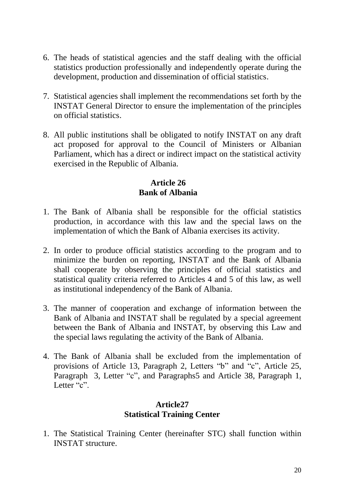- 6. The heads of statistical agencies and the staff dealing with the official statistics production professionally and independently operate during the development, production and dissemination of official statistics.
- 7. Statistical agencies shall implement the recommendations set forth by the INSTAT General Director to ensure the implementation of the principles on official statistics.
- 8. All public institutions shall be obligated to notify INSTAT on any draft act proposed for approval to the Council of Ministers or Albanian Parliament, which has a direct or indirect impact on the statistical activity exercised in the Republic of Albania.

# **Article 26 Bank of Albania**

- 1. The Bank of Albania shall be responsible for the official statistics production, in accordance with this law and the special laws on the implementation of which the Bank of Albania exercises its activity.
- 2. In order to produce official statistics according to the program and to minimize the burden on reporting, INSTAT and the Bank of Albania shall cooperate by observing the principles of official statistics and statistical quality criteria referred to Articles 4 and 5 of this law, as well as institutional independency of the Bank of Albania.
- 3. The manner of cooperation and exchange of information between the Bank of Albania and INSTAT shall be regulated by a special agreement between the Bank of Albania and INSTAT, by observing this Law and the special laws regulating the activity of the Bank of Albania.
- 4. The Bank of Albania shall be excluded from the implementation of provisions of Article 13, Paragraph 2, Letters "b" and "c", Article 25, Paragraph 3, Letter "c", and Paragraphs5 and Article 38, Paragraph 1, Letter "c".

# **Article27 Statistical Training Center**

1. The Statistical Training Center (hereinafter STC) shall function within INSTAT structure.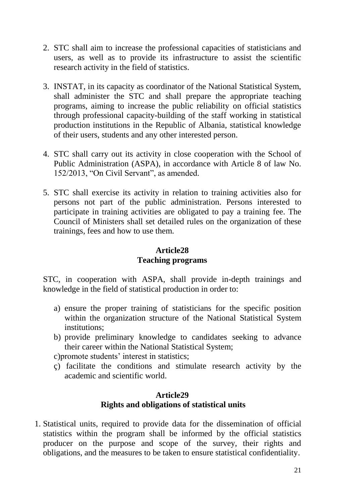- 2. STC shall aim to increase the professional capacities of statisticians and users, as well as to provide its infrastructure to assist the scientific research activity in the field of statistics.
- 3. INSTAT, in its capacity as coordinator of the National Statistical System, shall administer the STC and shall prepare the appropriate teaching programs, aiming to increase the public reliability on official statistics through professional capacity-building of the staff working in statistical production institutions in the Republic of Albania, statistical knowledge of their users, students and any other interested person.
- 4. STC shall carry out its activity in close cooperation with the School of Public Administration (ASPA), in accordance with Article 8 of law No. 152/2013, "On Civil Servant", as amended.
- 5. STC shall exercise its activity in relation to training activities also for persons not part of the public administration. Persons interested to participate in training activities are obligated to pay a training fee. The Council of Ministers shall set detailed rules on the organization of these trainings, fees and how to use them.

# **Article28 Teaching programs**

STC, in cooperation with ASPA, shall provide in-depth trainings and knowledge in the field of statistical production in order to:

- a) ensure the proper training of statisticians for the specific position within the organization structure of the National Statistical System institutions;
- b) provide preliminary knowledge to candidates seeking to advance their career within the National Statistical System;
- c)promote students' interest in statistics;
- ç) facilitate the conditions and stimulate research activity by the academic and scientific world.

#### **Article29 Rights and obligations of statistical units**

1. Statistical units, required to provide data for the dissemination of official statistics within the program shall be informed by the official statistics producer on the purpose and scope of the survey, their rights and obligations, and the measures to be taken to ensure statistical confidentiality.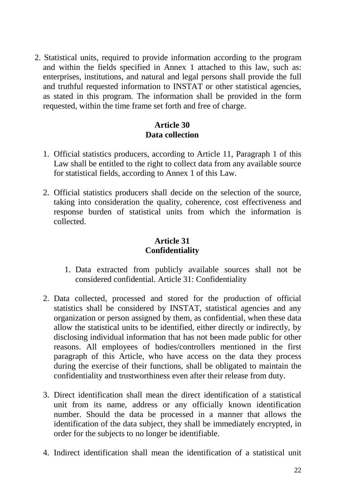2. Statistical units, required to provide information according to the program and within the fields specified in Annex 1 attached to this law, such as: enterprises, institutions, and natural and legal persons shall provide the full and truthful requested information to INSTAT or other statistical agencies, as stated in this program. The information shall be provided in the form requested, within the time frame set forth and free of charge.

# **Article 30 Data collection**

- 1. Official statistics producers, according to Article 11, Paragraph 1 of this Law shall be entitled to the right to collect data from any available source for statistical fields, according to Annex 1 of this Law.
- 2. Official statistics producers shall decide on the selection of the source, taking into consideration the quality, coherence, cost effectiveness and response burden of statistical units from which the information is collected.

# **Article 31 Confidentiality**

- 1. Data extracted from publicly available sources shall not be considered confidential. Article 31: Confidentiality
- 2. Data collected, processed and stored for the production of official statistics shall be considered by INSTAT, statistical agencies and any organization or person assigned by them, as confidential, when these data allow the statistical units to be identified, either directly or indirectly, by disclosing individual information that has not been made public for other reasons. All employees of bodies/controllers mentioned in the first paragraph of this Article, who have access on the data they process during the exercise of their functions, shall be obligated to maintain the confidentiality and trustworthiness even after their release from duty.
- 3. Direct identification shall mean the direct identification of a statistical unit from its name, address or any officially known identification number. Should the data be processed in a manner that allows the identification of the data subject, they shall be immediately encrypted, in order for the subjects to no longer be identifiable.
- 4. Indirect identification shall mean the identification of a statistical unit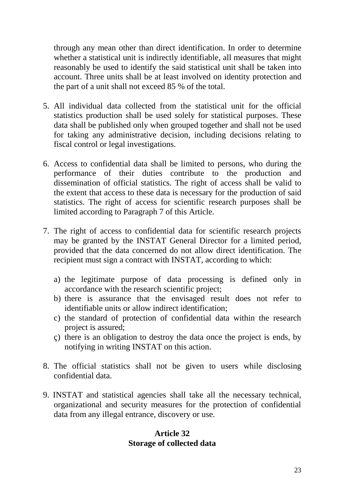through any mean other than direct identification. In order to determine whether a statistical unit is indirectly identifiable, all measures that might reasonably be used to identify the said statistical unit shall be taken into account. Three units shall be at least involved on identity protection and the part of a unit shall not exceed 85 % of the total.

- 5. All individual data collected from the statistical unit for the official statistics production shall be used solely for statistical purposes. These data shall be published only when grouped together and shall not be used for taking any administrative decision, including decisions relating to fiscal control or legal investigations.
- 6. Access to confidential data shall be limited to persons, who during the performance of their duties contribute to the production and dissemination of official statistics. The right of access shall be valid to the extent that access to these data is necessary for the production of said statistics. The right of access for scientific research purposes shall be limited according to Paragraph 7 of this Article.
- 7. The right of access to confidential data for scientific research projects may be granted by the INSTAT General Director for a limited period, provided that the data concerned do not allow direct identification. The recipient must sign a contract with INSTAT, according to which:
	- a) the legitimate purpose of data processing is defined only in accordance with the research scientific project;
	- b) there is assurance that the envisaged result does not refer to identifiable units or allow indirect identification;
	- c) the standard of protection of confidential data within the research project is assured;
	- ç) there is an obligation to destroy the data once the project is ends, by notifying in writing INSTAT on this action.
- 8. The official statistics shall not be given to users while disclosing confidential data.
- 9. INSTAT and statistical agencies shall take all the necessary technical, organizational and security measures for the protection of confidential data from any illegal entrance, discovery or use.

#### **Article 32 Storage of collected data**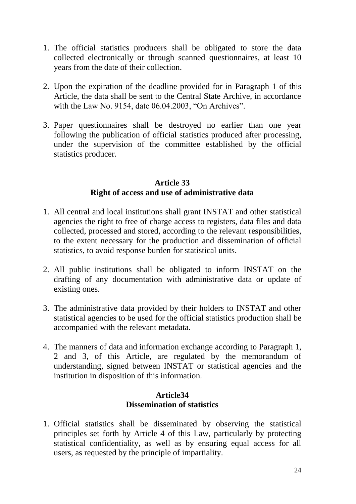- 1. The official statistics producers shall be obligated to store the data collected electronically or through scanned questionnaires, at least 10 years from the date of their collection.
- 2. Upon the expiration of the deadline provided for in Paragraph 1 of this Article, the data shall be sent to the Central State Archive, in accordance with the Law No. 9154, date 06.04.2003, "On Archives".
- 3. Paper questionnaires shall be destroyed no earlier than one year following the publication of official statistics produced after processing, under the supervision of the committee established by the official statistics producer.

#### **Article 33 Right of access and use of administrative data**

- 1. All central and local institutions shall grant INSTAT and other statistical agencies the right to free of charge access to registers, data files and data collected, processed and stored, according to the relevant responsibilities, to the extent necessary for the production and dissemination of official statistics, to avoid response burden for statistical units.
- 2. All public institutions shall be obligated to inform INSTAT on the drafting of any documentation with administrative data or update of existing ones.
- 3. The administrative data provided by their holders to INSTAT and other statistical agencies to be used for the official statistics production shall be accompanied with the relevant metadata.
- 4. The manners of data and information exchange according to Paragraph 1, 2 and 3, of this Article, are regulated by the memorandum of understanding, signed between INSTAT or statistical agencies and the institution in disposition of this information.

#### **Article34 Dissemination of statistics**

1. Official statistics shall be disseminated by observing the statistical principles set forth by Article 4 of this Law, particularly by protecting statistical confidentiality, as well as by ensuring equal access for all users, as requested by the principle of impartiality.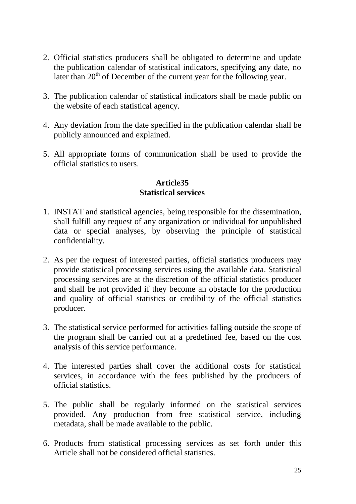- 2. Official statistics producers shall be obligated to determine and update the publication calendar of statistical indicators, specifying any date, no later than  $20<sup>th</sup>$  of December of the current year for the following year.
- 3. The publication calendar of statistical indicators shall be made public on the website of each statistical agency.
- 4. Any deviation from the date specified in the publication calendar shall be publicly announced and explained.
- 5. All appropriate forms of communication shall be used to provide the official statistics to users.

# **Article35 Statistical services**

- 1. INSTAT and statistical agencies, being responsible for the dissemination, shall fulfill any request of any organization or individual for unpublished data or special analyses, by observing the principle of statistical confidentiality.
- 2. As per the request of interested parties, official statistics producers may provide statistical processing services using the available data. Statistical processing services are at the discretion of the official statistics producer and shall be not provided if they become an obstacle for the production and quality of official statistics or credibility of the official statistics producer.
- 3. The statistical service performed for activities falling outside the scope of the program shall be carried out at a predefined fee, based on the cost analysis of this service performance.
- 4. The interested parties shall cover the additional costs for statistical services, in accordance with the fees published by the producers of official statistics.
- 5. The public shall be regularly informed on the statistical services provided. Any production from free statistical service, including metadata, shall be made available to the public.
- 6. Products from statistical processing services as set forth under this Article shall not be considered official statistics.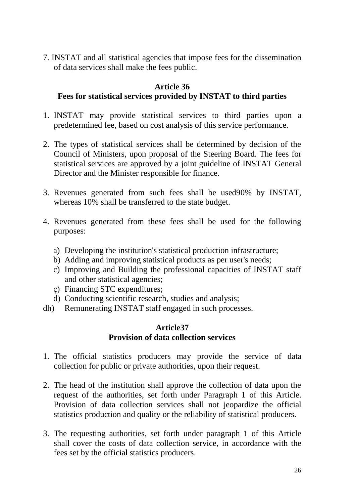7. INSTAT and all statistical agencies that impose fees for the dissemination of data services shall make the fees public.

# **Article 36**

# **Fees for statistical services provided by INSTAT to third parties**

- 1. INSTAT may provide statistical services to third parties upon a predetermined fee, based on cost analysis of this service performance.
- 2. The types of statistical services shall be determined by decision of the Council of Ministers, upon proposal of the Steering Board. The fees for statistical services are approved by a joint guideline of INSTAT General Director and the Minister responsible for finance.
- 3. Revenues generated from such fees shall be used90% by INSTAT, whereas 10% shall be transferred to the state budget.
- 4. Revenues generated from these fees shall be used for the following purposes:
	- a) Developing the institution's statistical production infrastructure;
	- b) Adding and improving statistical products as per user's needs;
	- c) Improving and Building the professional capacities of INSTAT staff and other statistical agencies;
	- ç) Financing STC expenditures;
	- d) Conducting scientific research, studies and analysis;
- dh) Remunerating INSTAT staff engaged in such processes.

# **Article37 Provision of data collection services**

- 1. The official statistics producers may provide the service of data collection for public or private authorities, upon their request.
- 2. The head of the institution shall approve the collection of data upon the request of the authorities, set forth under Paragraph 1 of this Article. Provision of data collection services shall not jeopardize the official statistics production and quality or the reliability of statistical producers.
- 3. The requesting authorities, set forth under paragraph 1 of this Article shall cover the costs of data collection service, in accordance with the fees set by the official statistics producers.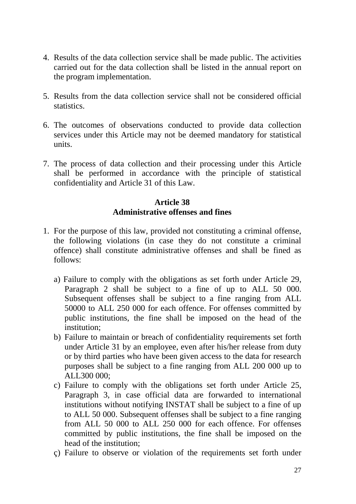- 4. Results of the data collection service shall be made public. The activities carried out for the data collection shall be listed in the annual report on the program implementation.
- 5. Results from the data collection service shall not be considered official statistics.
- 6. The outcomes of observations conducted to provide data collection services under this Article may not be deemed mandatory for statistical units.
- 7. The process of data collection and their processing under this Article shall be performed in accordance with the principle of statistical confidentiality and Article 31 of this Law.

#### **Article 38 Administrative offenses and fines**

- 1. For the purpose of this law, provided not constituting a criminal offense, the following violations (in case they do not constitute a criminal offence) shall constitute administrative offenses and shall be fined as follows:
	- a) Failure to comply with the obligations as set forth under Article 29, Paragraph 2 shall be subject to a fine of up to ALL 50 000. Subsequent offenses shall be subject to a fine ranging from ALL 50000 to ALL 250 000 for each offence. For offenses committed by public institutions, the fine shall be imposed on the head of the institution;
	- b) Failure to maintain or breach of confidentiality requirements set forth under Article 31 by an employee, even after his/her release from duty or by third parties who have been given access to the data for research purposes shall be subject to a fine ranging from ALL 200 000 up to ALL300 000;
	- c) Failure to comply with the obligations set forth under Article 25, Paragraph 3, in case official data are forwarded to international institutions without notifying INSTAT shall be subject to a fine of up to ALL 50 000. Subsequent offenses shall be subject to a fine ranging from ALL 50 000 to ALL 250 000 for each offence. For offenses committed by public institutions, the fine shall be imposed on the head of the institution;
	- ç) Failure to observe or violation of the requirements set forth under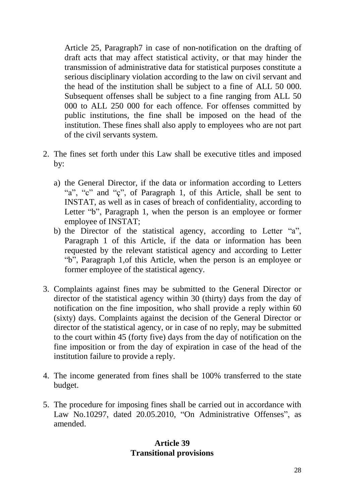Article 25, Paragraph7 in case of non-notification on the drafting of draft acts that may affect statistical activity, or that may hinder the transmission of administrative data for statistical purposes constitute a serious disciplinary violation according to the law on civil servant and the head of the institution shall be subject to a fine of ALL 50 000. Subsequent offenses shall be subject to a fine ranging from ALL 50 000 to ALL 250 000 for each offence. For offenses committed by public institutions, the fine shall be imposed on the head of the institution. These fines shall also apply to employees who are not part of the civil servants system.

- 2. The fines set forth under this Law shall be executive titles and imposed by:
	- a) the General Director, if the data or information according to Letters "a", "c" and "c", of Paragraph 1, of this Article, shall be sent to INSTAT, as well as in cases of breach of confidentiality, according to Letter "b", Paragraph 1, when the person is an employee or former employee of INSTAT;
	- b) the Director of the statistical agency, according to Letter "a", Paragraph 1 of this Article, if the data or information has been requested by the relevant statistical agency and according to Letter "b", Paragraph 1,of this Article, when the person is an employee or former employee of the statistical agency.
- 3. Complaints against fines may be submitted to the General Director or director of the statistical agency within 30 (thirty) days from the day of notification on the fine imposition, who shall provide a reply within 60 (sixty) days. Complaints against the decision of the General Director or director of the statistical agency, or in case of no reply, may be submitted to the court within 45 (forty five) days from the day of notification on the fine imposition or from the day of expiration in case of the head of the institution failure to provide a reply.
- 4. The income generated from fines shall be 100% transferred to the state budget.
- 5. The procedure for imposing fines shall be carried out in accordance with Law No.10297, dated 20.05.2010, "On Administrative Offenses", as amended.

# **Article 39 Transitional provisions**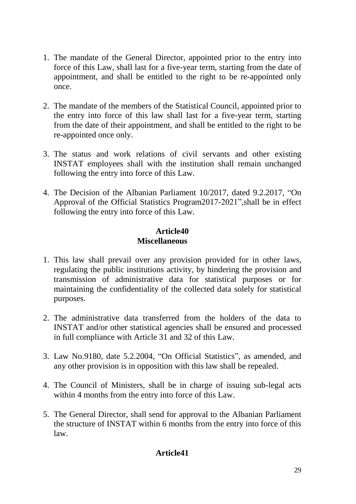- 1. The mandate of the General Director, appointed prior to the entry into force of this Law, shall last for a five-year term, starting from the date of appointment, and shall be entitled to the right to be re-appointed only once.
- 2. The mandate of the members of the Statistical Council, appointed prior to the entry into force of this law shall last for a five-year term, starting from the date of their appointment, and shall be entitled to the right to be re-appointed once only.
- 3. The status and work relations of civil servants and other existing INSTAT employees shall with the institution shall remain unchanged following the entry into force of this Law.
- 4. The Decision of the Albanian Parliament 10/2017, dated 9.2.2017, "On Approval of the Official Statistics Program2017-2021",shall be in effect following the entry into force of this Law.

# **Article40 Miscellaneous**

- 1. This law shall prevail over any provision provided for in other laws, regulating the public institutions activity, by hindering the provision and transmission of administrative data for statistical purposes or for maintaining the confidentiality of the collected data solely for statistical purposes.
- 2. The administrative data transferred from the holders of the data to INSTAT and/or other statistical agencies shall be ensured and processed in full compliance with Article 31 and 32 of this Law.
- 3. Law No.9180, date 5.2.2004, "On Official Statistics", as amended, and any other provision is in opposition with this law shall be repealed.
- 4. The Council of Ministers, shall be in charge of issuing sub-legal acts within 4 months from the entry into force of this Law.
- 5. The General Director, shall send for approval to the Albanian Parliament the structure of INSTAT within 6 months from the entry into force of this law.

# **Article41**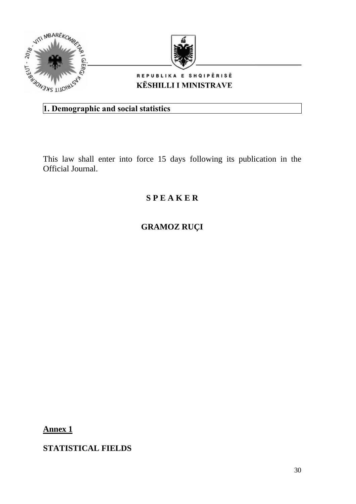



#### REPUBLIKA E SHQIPËRISË **KËSHILLI I MINISTRAVE**

# **1. Demographic and social statistics**

This law shall enter into force 15 days following its publication in the Official Journal.

# **S P E A K E R**

# **GRAMOZ RUÇI**

**Annex 1**

**STATISTICAL FIELDS**